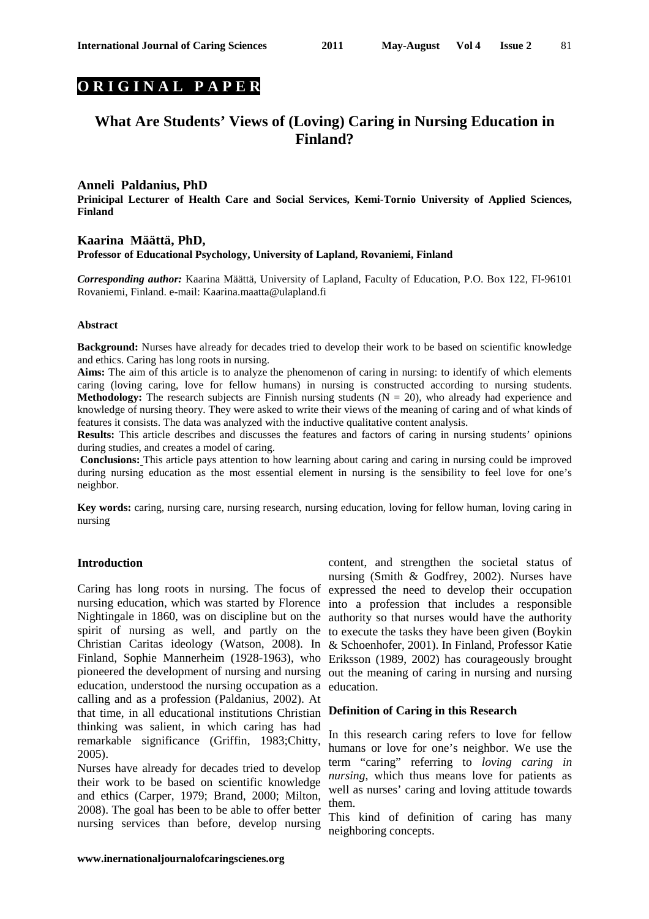# **O R I G I N A L P A P E R**

# **What Are Students' Views of (Loving) Caring in Nursing Education in Finland?**

# **Anneli Paldanius, PhD**

**Prinicipal Lecturer of Health Care and Social Services, Kemi-Tornio University of Applied Sciences, Finland** 

#### **Kaarina Määttä, PhD, Professor of Educational Psychology, University of Lapland, Rovaniemi, Finland**

*Corresponding author:* Kaarina Määttä, University of Lapland, Faculty of Education, P.O. Box 122, FI-96101 Rovaniemi, Finland. e-mail: Kaarina.maatta@ulapland.fi

#### **Abstract**

**Background:** Nurses have already for decades tried to develop their work to be based on scientific knowledge and ethics. Caring has long roots in nursing.

**Aims:** The aim of this article is to analyze the phenomenon of caring in nursing: to identify of which elements caring (loving caring, love for fellow humans) in nursing is constructed according to nursing students. **Methodology:** The research subjects are Finnish nursing students  $(N = 20)$ , who already had experience and knowledge of nursing theory. They were asked to write their views of the meaning of caring and of what kinds of features it consists. The data was analyzed with the inductive qualitative content analysis.

**Results:** This article describes and discusses the features and factors of caring in nursing students' opinions during studies, and creates a model of caring.

**Conclusions:** This article pays attention to how learning about caring and caring in nursing could be improved during nursing education as the most essential element in nursing is the sensibility to feel love for one's neighbor.

**Key words:** caring, nursing care, nursing research, nursing education, loving for fellow human, loving caring in nursing

#### **Introduction**

Caring has long roots in nursing. The focus of nursing education, which was started by Florence into a profession that includes a responsible Nightingale in 1860, was on discipline but on the authority so that nurses would have the authority spirit of nursing as well, and partly on the Christian Caritas ideology (Watson, 2008). In & Schoenhofer, 2001). In Finland, Professor Katie Finland, Sophie Mannerheim (1928-1963), who Eriksson (1989, 2002) has courageously brought pioneered the development of nursing and nursing out the meaning of caring in nursing and nursing education, understood the nursing occupation as a calling and as a profession (Paldanius, 2002). At that time, in all educational institutions Christian **Definition of Caring in this Research**  thinking was salient, in which caring has had remarkable significance (Griffin, 1983;Chitty, 2005).

Nurses have already for decades tried to develop their work to be based on scientific knowledge and ethics (Carper, 1979; Brand, 2000; Milton, 2008). The goal has been to be able to offer better nursing services than before, develop nursing

content, and strengthen the societal status of nursing (Smith & Godfrey, 2002). Nurses have expressed the need to develop their occupation to execute the tasks they have been given (Boykin education.

In this research caring refers to love for fellow humans or love for one's neighbor. We use the term "caring" referring to *loving caring in nursing*, which thus means love for patients as well as nurses' caring and loving attitude towards them.

This kind of definition of caring has many neighboring concepts.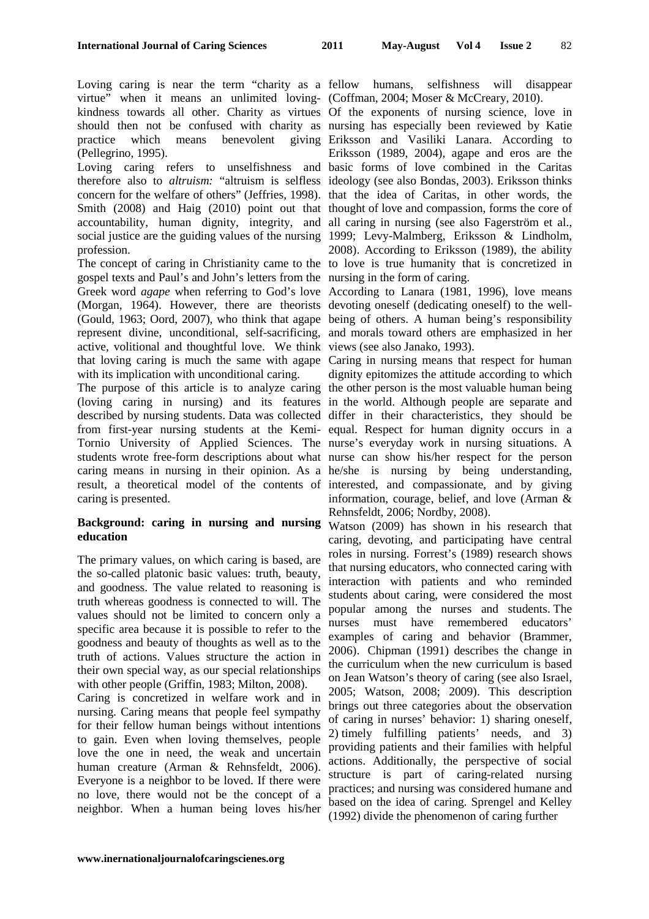virtue" when it means an unlimited loving-(Coffman, 2004; Moser & McCreary, 2010). kindness towards all other. Charity as virtues Of the exponents of nursing science, love in should then not be confused with charity as nursing has especially been reviewed by Katie practice which means (Pellegrino, 1995).

Loving caring refers to unselfishness and basic forms of love combined in the Caritas therefore also to *altruism:* "altruism is selfless ideology (see also Bondas, 2003). Eriksson thinks concern for the welfare of others" (Jeffries, 1998). that the idea of Caritas, in other words, the Smith (2008) and Haig (2010) point out that thought of love and compassion, forms the core of accountability, human dignity, integrity, and all caring in nursing (see also Fagerström et al., social justice are the guiding values of the nursing 1999; Levy-Malmberg, Eriksson & Lindholm, profession.

The concept of caring in Christianity came to the to love is true humanity that is concretized in gospel texts and Paul's and John's letters from the nursing in the form of caring. Greek word *agape* when referring to God's love According to Lanara (1981, 1996), love means (Morgan, 1964). However, there are theorists devoting oneself (dedicating oneself) to the well-(Gould, 1963; Oord, 2007), who think that agape being of others. A human being's responsibility represent divine, unconditional, self-sacrificing, and morals toward others are emphasized in her active, volitional and thoughtful love. We think views (see also Janako, 1993). that loving caring is much the same with agape Caring in nursing means that respect for human with its implication with unconditional caring.

The purpose of this article is to analyze caring the other person is the most valuable human being (loving caring in nursing) and its features in the world. Although people are separate and described by nursing students. Data was collected differ in their characteristics, they should be from first-year nursing students at the Kemi-equal. Respect for human dignity occurs in a Tornio University of Applied Sciences. The nurse's everyday work in nursing situations. A students wrote free-form descriptions about what nurse can show his/her respect for the person caring means in nursing in their opinion. As a he/she is nursing by being understanding, result, a theoretical model of the contents of interested, and compassionate, and by giving caring is presented.

## **Background: caring in nursing and nursing education**

The primary values, on which caring is based, are the so-called platonic basic values: truth, beauty, and goodness. The value related to reasoning is truth whereas goodness is connected to will. The values should not be limited to concern only a specific area because it is possible to refer to the goodness and beauty of thoughts as well as to the truth of actions. Values structure the action in their own special way, as our special relationships with other people (Griffin, 1983; Milton, 2008).

Caring is concretized in welfare work and in nursing. Caring means that people feel sympathy for their fellow human beings without intentions to gain. Even when loving themselves, people love the one in need, the weak and uncertain human creature (Arman & Rehnsfeldt, 2006). Everyone is a neighbor to be loved. If there were no love, there would not be the concept of a neighbor. When a human being loves his/her

Loving caring is near the term "charity as a fellow humans, selfishness will disappear

benevolent giving Eriksson and Vasiliki Lanara. According to Eriksson (1989, 2004), agape and eros are the 2008). According to Eriksson (1989), the ability

dignity epitomizes the attitude according to which information, courage, belief, and love (Arman & Rehnsfeldt, 2006; Nordby, 2008).

Watson (2009) has shown in his research that caring, devoting, and participating have central roles in nursing. Forrest's (1989) research shows that nursing educators, who connected caring with interaction with patients and who reminded students about caring, were considered the most popular among the nurses and students. The nurses must have remembered educators' examples of caring and behavior (Brammer, 2006). Chipman (1991) describes the change in the curriculum when the new curriculum is based on Jean Watson's theory of caring (see also Israel, 2005; Watson, 2008; 2009). This description brings out three categories about the observation of caring in nurses' behavior: 1) sharing oneself, 2) timely fulfilling patients' needs, and 3) providing patients and their families with helpful actions. Additionally, the perspective of social structure is part of caring-related nursing practices; and nursing was considered humane and based on the idea of caring. Sprengel and Kelley (1992) divide the phenomenon of caring further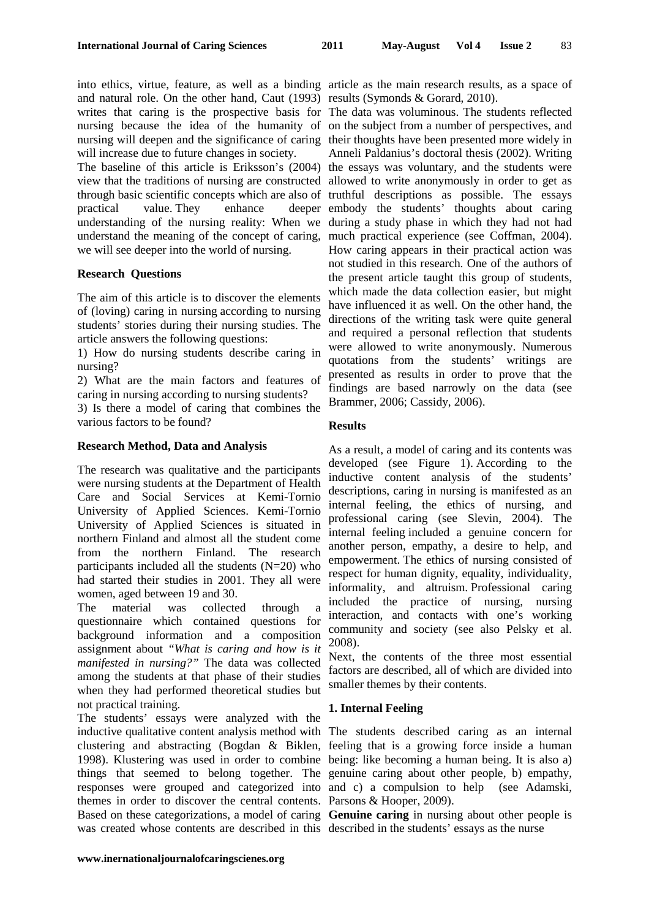into ethics, virtue, feature, as well as a binding article as the main research results, as a space of and natural role. On the other hand, Caut (1993) results (Symonds & Gorard, 2010). writes that caring is the prospective basis for The data was voluminous. The students reflected nursing because the idea of the humanity of on the subject from a number of perspectives, and nursing will deepen and the significance of caring their thoughts have been presented more widely in will increase due to future changes in society.

The baseline of this article is Eriksson's (2004) the essays was voluntary, and the students were view that the traditions of nursing are constructed allowed to write anonymously in order to get as through basic scientific concepts which are also of truthful descriptions as possible. The essays practical value. They enhance understanding of the nursing reality: When we during a study phase in which they had not had understand the meaning of the concept of caring, we will see deeper into the world of nursing.

#### **Research Questions**

The aim of this article is to discover the elements of (loving) caring in nursing according to nursing students' stories during their nursing studies. The article answers the following questions:

1) How do nursing students describe caring in nursing?

2) What are the main factors and features of caring in nursing according to nursing students?

3) Is there a model of caring that combines the various factors to be found?

### **Research Method, Data and Analysis**

The research was qualitative and the participants were nursing students at the Department of Health Care and Social Services at Kemi-Tornio University of Applied Sciences. Kemi-Tornio University of Applied Sciences is situated in northern Finland and almost all the student come from the northern Finland. The research participants included all the students  $(N=20)$  who had started their studies in 2001. They all were women, aged between 19 and 30.

The material was collected through a questionnaire which contained questions for background information and a composition assignment about *"What is caring and how is it manifested in nursing?"* The data was collected among the students at that phase of their studies when they had performed theoretical studies but not practical training.

The students' essays were analyzed with the inductive qualitative content analysis method with The students described caring as an internal clustering and abstracting (Bogdan & Biklen, feeling that is a growing force inside a human 1998). Klustering was used in order to combine being: like becoming a human being. It is also a) things that seemed to belong together. The genuine caring about other people, b) empathy, responses were grouped and categorized into and c) a compulsion to help (see Adamski, themes in order to discover the central contents. Parsons & Hooper, 2009). Based on these categorizations, a model of caring **Genuine caring** in nursing about other people is was created whose contents are described in this described in the students' essays as the nurse

Anneli Paldanius's doctoral thesis (2002). Writing deeper embody the students' thoughts about caring much practical experience (see Coffman, 2004). How caring appears in their practical action was not studied in this research. One of the authors of the present article taught this group of students, which made the data collection easier, but might have influenced it as well. On the other hand, the directions of the writing task were quite general and required a personal reflection that students were allowed to write anonymously. Numerous quotations from the students' writings are presented as results in order to prove that the findings are based narrowly on the data (see Brammer, 2006; Cassidy, 2006).

### **Results**

As a result, a model of caring and its contents was developed (see Figure 1). According to the inductive content analysis of the students' descriptions, caring in nursing is manifested as an internal feeling, the ethics of nursing, and professional caring (see Slevin, 2004). The internal feeling included a genuine concern for another person, empathy, a desire to help, and empowerment. The ethics of nursing consisted of respect for human dignity, equality, individuality, informality, and altruism. Professional caring included the practice of nursing, nursing interaction, and contacts with one's working community and society (see also Pelsky et al. 2008).

Next, the contents of the three most essential factors are described, all of which are divided into smaller themes by their contents.

#### **1. Internal Feeling**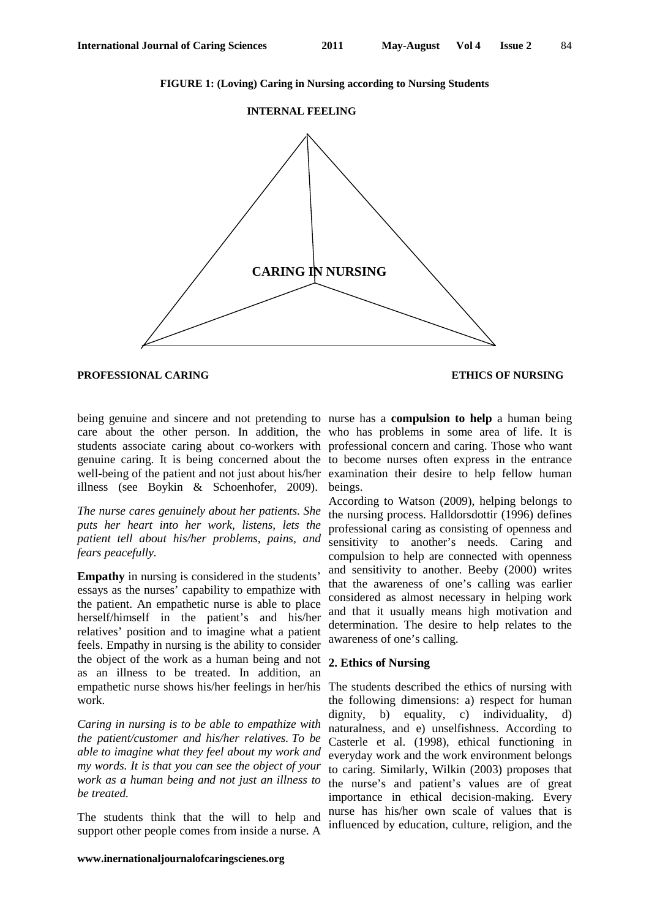**FIGURE 1: (Loving) Caring in Nursing according to Nursing Students** 

#### **INTERNAL FEELING**



### **PROFESSIONAL CARING ETHICS OF NURSING**

being genuine and sincere and not pretending to nurse has a **compulsion to help** a human being care about the other person. In addition, the who has problems in some area of life. It is students associate caring about co-workers with professional concern and caring. Those who want genuine caring. It is being concerned about the to become nurses often express in the entrance well-being of the patient and not just about his/her examination their desire to help fellow human illness (see Boykin & Schoenhofer, 2009).

*The nurse cares genuinely about her patients. She puts her heart into her work, listens, lets the patient tell about his/her problems, pains, and fears peacefully.* 

**Empathy** in nursing is considered in the students' essays as the nurses' capability to empathize with the patient. An empathetic nurse is able to place herself/himself in the patient's and his/her relatives' position and to imagine what a patient feels. Empathy in nursing is the ability to consider the object of the work as a human being and not as an illness to be treated. In addition, an empathetic nurse shows his/her feelings in her/his work.

*Caring in nursing is to be able to empathize with the patient/customer and his/her relatives. To be able to imagine what they feel about my work and my words. It is that you can see the object of your work as a human being and not just an illness to be treated.* 

The students think that the will to help and support other people comes from inside a nurse. A

beings.

According to Watson (2009), helping belongs to the nursing process. Halldorsdottir (1996) defines professional caring as consisting of openness and sensitivity to another's needs. Caring and compulsion to help are connected with openness and sensitivity to another. Beeby (2000) writes that the awareness of one's calling was earlier considered as almost necessary in helping work and that it usually means high motivation and determination. The desire to help relates to the awareness of one's calling.

### **2. Ethics of Nursing**

The students described the ethics of nursing with the following dimensions: a) respect for human dignity, b) equality, c) individuality, d) naturalness, and e) unselfishness. According to Casterle et al. (1998), ethical functioning in everyday work and the work environment belongs to caring. Similarly, Wilkin (2003) proposes that the nurse's and patient's values are of great importance in ethical decision-making. Every nurse has his/her own scale of values that is influenced by education, culture, religion, and the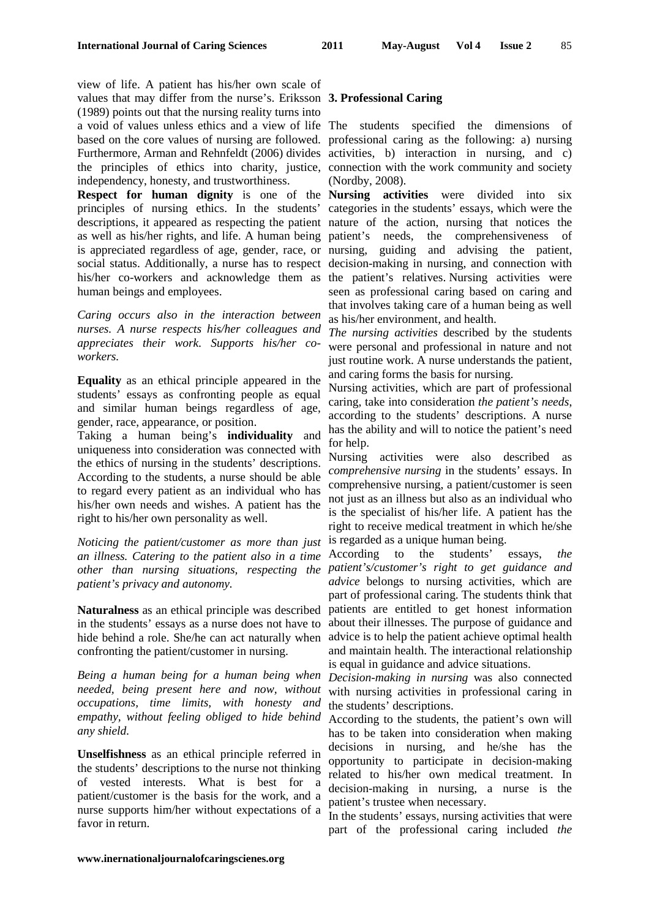view of life. A patient has his/her own scale of values that may differ from the nurse's. Eriksson **3. Professional Caring**  (1989) points out that the nursing reality turns into a void of values unless ethics and a view of life The students specified the dimensions of based on the core values of nursing are followed. professional caring as the following: a) nursing Furthermore, Arman and Rehnfeldt (2006) divides activities, b) interaction in nursing, and c) the principles of ethics into charity, justice, connection with the work community and society independency, honesty, and trustworthiness.

**Respect for human dignity** is one of the **Nursing activities** were divided into six principles of nursing ethics. In the students' categories in the students' essays, which were the descriptions, it appeared as respecting the patient nature of the action, nursing that notices the as well as his/her rights, and life. A human being patient's needs, the comprehensiveness of is appreciated regardless of age, gender, race, or nursing, guiding and advising the patient, social status. Additionally, a nurse has to respect decision-making in nursing, and connection with his/her co-workers and acknowledge them as the patient's relatives. Nursing activities were human beings and employees.

*Caring occurs also in the interaction between nurses. A nurse respects his/her colleagues and appreciates their work. Supports his/her coworkers.* 

**Equality** as an ethical principle appeared in the students' essays as confronting people as equal and similar human beings regardless of age, gender, race, appearance, or position.

Taking a human being's **individuality** and uniqueness into consideration was connected with the ethics of nursing in the students' descriptions. According to the students, a nurse should be able to regard every patient as an individual who has his/her own needs and wishes. A patient has the right to his/her own personality as well.

*Noticing the patient/customer as more than just an illness. Catering to the patient also in a time other than nursing situations, respecting the patient's/customer's right to get guidance and patient's privacy and autonomy.* 

**Naturalness** as an ethical principle was described in the students' essays as a nurse does not have to hide behind a role. She/he can act naturally when confronting the patient/customer in nursing.

*Being a human being for a human being when needed, being present here and now, without occupations, time limits, with honesty and empathy, without feeling obliged to hide behind any shield.* 

**Unselfishness** as an ethical principle referred in the students' descriptions to the nurse not thinking of vested interests. What is best for a patient/customer is the basis for the work, and a nurse supports him/her without expectations of a favor in return.

(Nordby, 2008).

seen as professional caring based on caring and that involves taking care of a human being as well as his/her environment, and health.

*The nursing activities* described by the students were personal and professional in nature and not just routine work. A nurse understands the patient, and caring forms the basis for nursing.

Nursing activities, which are part of professional caring, take into consideration *the patient's needs*, according to the students' descriptions. A nurse has the ability and will to notice the patient's need for help.

Nursing activities were also described as *comprehensive nursing* in the students' essays. In comprehensive nursing, a patient/customer is seen not just as an illness but also as an individual who is the specialist of his/her life. A patient has the right to receive medical treatment in which he/she is regarded as a unique human being.

According to the students' essays, *the advice* belongs to nursing activities, which are part of professional caring. The students think that patients are entitled to get honest information about their illnesses. The purpose of guidance and advice is to help the patient achieve optimal health and maintain health. The interactional relationship is equal in guidance and advice situations.

*Decision-making in nursing* was also connected with nursing activities in professional caring in the students' descriptions.

According to the students, the patient's own will has to be taken into consideration when making decisions in nursing, and he/she has the opportunity to participate in decision-making related to his/her own medical treatment. In decision-making in nursing, a nurse is the patient's trustee when necessary.

In the students' essays, nursing activities that were part of the professional caring included *the*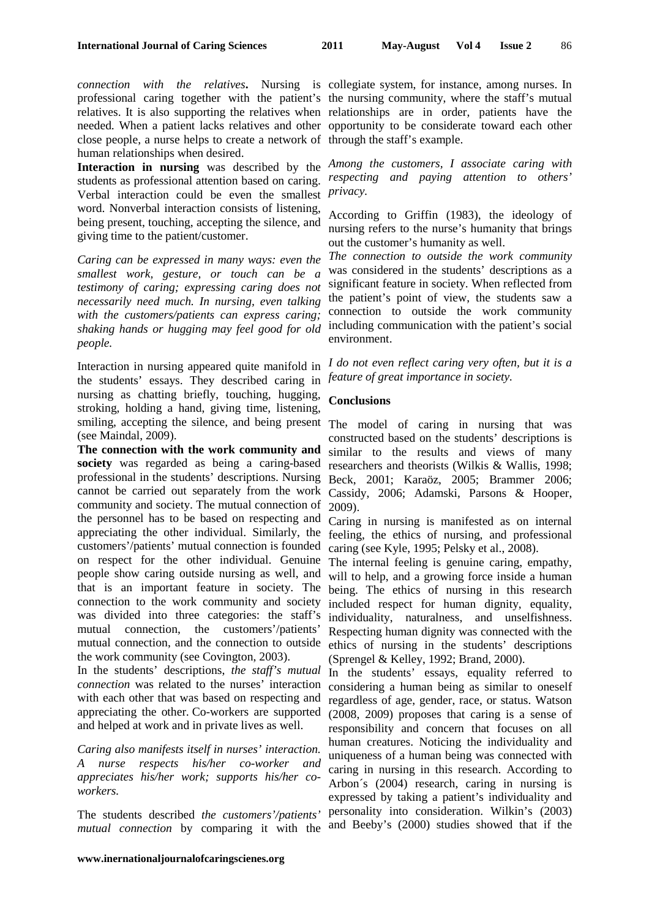professional caring together with the patient's the nursing community, where the staff's mutual relatives. It is also supporting the relatives when relationships are in order, patients have the needed. When a patient lacks relatives and other opportunity to be considerate toward each other close people, a nurse helps to create a network of through the staff's example. human relationships when desired.

students as professional attention based on caring. *respecting and paying attention to others'*  Verbal interaction could be even the smallest *privacy.*  word. Nonverbal interaction consists of listening, being present, touching, accepting the silence, and giving time to the patient/customer.

*Caring can be expressed in many ways: even the smallest work, gesture, or touch can be a testimony of caring; expressing caring does not necessarily need much. In nursing, even talking with the customers/patients can express caring; shaking hands or hugging may feel good for old people.* 

Interaction in nursing appeared quite manifold in the students' essays. They described caring in nursing as chatting briefly, touching, hugging, stroking, holding a hand, giving time, listening, smiling, accepting the silence, and being present The model of caring in nursing that was (see Maindal, 2009).

**The connection with the work community and society** was regarded as being a caring-based professional in the students' descriptions. Nursing cannot be carried out separately from the work community and society. The mutual connection of the personnel has to be based on respecting and appreciating the other individual. Similarly, the customers'/patients' mutual connection is founded on respect for the other individual. Genuine people show caring outside nursing as well, and that is an important feature in society. The connection to the work community and society was divided into three categories: the staff's mutual connection, the customers'/patients' mutual connection, and the connection to outside the work community (see Covington, 2003).

In the students' descriptions, *the staff's mutual connection* was related to the nurses' interaction with each other that was based on respecting and appreciating the other. Co-workers are supported and helped at work and in private lives as well.

*Caring also manifests itself in nurses' interaction. A nurse respects his/her co-worker and appreciates his/her work; supports his/her coworkers.* 

The students described *the customers'/patients' mutual connection* by comparing it with the

*connection with the relatives***.** Nursing is collegiate system, for instance, among nurses. In

**Interaction in nursing** was described by the *Among the customers, I associate caring with* 

According to Griffin (1983), the ideology of nursing refers to the nurse's humanity that brings out the customer's humanity as well.

*The connection to outside the work community* was considered in the students' descriptions as a significant feature in society. When reflected from the patient's point of view, the students saw a connection to outside the work community including communication with the patient's social environment.

*I do not even reflect caring very often, but it is a feature of great importance in society.* 

#### **Conclusions**

constructed based on the students' descriptions is similar to the results and views of many researchers and theorists (Wilkis & Wallis, 1998; Beck, 2001; Karaöz, 2005; Brammer 2006; Cassidy, 2006; Adamski, Parsons & Hooper, 2009).

Caring in nursing is manifested as on internal feeling, the ethics of nursing, and professional caring (see Kyle, 1995; Pelsky et al., 2008).

The internal feeling is genuine caring, empathy, will to help, and a growing force inside a human being. The ethics of nursing in this research included respect for human dignity, equality, individuality, naturalness, and unselfishness. Respecting human dignity was connected with the ethics of nursing in the students' descriptions (Sprengel & Kelley, 1992; Brand, 2000).

In the students' essays, equality referred to considering a human being as similar to oneself regardless of age, gender, race, or status. Watson (2008, 2009) proposes that caring is a sense of responsibility and concern that focuses on all human creatures. Noticing the individuality and uniqueness of a human being was connected with caring in nursing in this research. According to Arbon´s (2004) research, caring in nursing is expressed by taking a patient's individuality and personality into consideration. Wilkin's (2003) and Beeby's (2000) studies showed that if the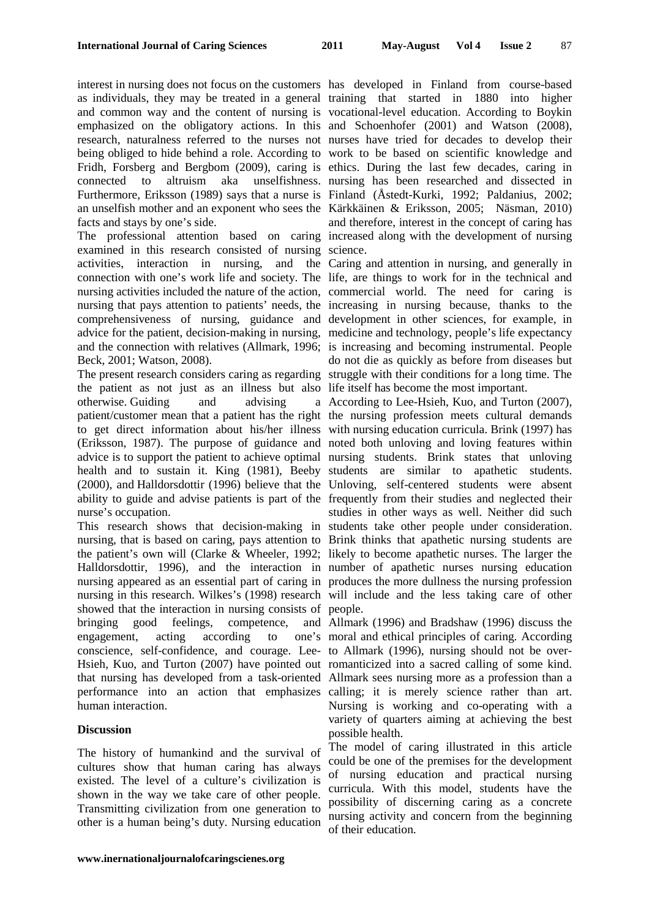interest in nursing does not focus on the customers has developed in Finland from course-based as individuals, they may be treated in a general training that started in 1880 into higher and common way and the content of nursing is vocational-level education. According to Boykin emphasized on the obligatory actions. In this and Schoenhofer (2001) and Watson (2008), research, naturalness referred to the nurses not nurses have tried for decades to develop their being obliged to hide behind a role. According to work to be based on scientific knowledge and Fridh, Forsberg and Bergbom (2009), caring is ethics. During the last few decades, caring in connected to altruism aka unselfishness. nursing has been researched and dissected in Furthermore, Eriksson (1989) says that a nurse is Finland (Åstedt-Kurki, 1992; Paldanius, 2002; an unselfish mother and an exponent who sees the Kärkkäinen & Eriksson, 2005; Näsman, 2010) facts and stays by one's side.

The professional attention based on caring increased along with the development of nursing examined in this research consisted of nursing science. activities, interaction in nursing, and the Caring and attention in nursing, and generally in connection with one's work life and society. The life, are things to work for in the technical and nursing activities included the nature of the action, commercial world. The need for caring is nursing that pays attention to patients' needs, the increasing in nursing because, thanks to the comprehensiveness of nursing, guidance and development in other sciences, for example, in advice for the patient, decision-making in nursing, medicine and technology, people's life expectancy and the connection with relatives (Allmark, 1996; is increasing and becoming instrumental. People Beck, 2001; Watson, 2008).

The present research considers caring as regarding struggle with their conditions for a long time. The the patient as not just as an illness but also life itself has become the most important. otherwise. Guiding and advising a patient/customer mean that a patient has the right the nursing profession meets cultural demands to get direct information about his/her illness with nursing education curricula. Brink (1997) has (Eriksson, 1987). The purpose of guidance and noted both unloving and loving features within advice is to support the patient to achieve optimal nursing students. Brink states that unloving health and to sustain it. King (1981), Beeby students are similar to apathetic students. (2000), and Halldorsdottir (1996) believe that the Unloving, self-centered students were absent ability to guide and advise patients is part of the frequently from their studies and neglected their nurse's occupation.

This research shows that decision-making in students take other people under consideration. nursing, that is based on caring, pays attention to Brink thinks that apathetic nursing students are the patient's own will (Clarke & Wheeler, 1992; likely to become apathetic nurses. The larger the Halldorsdottir, 1996), and the interaction in number of apathetic nurses nursing education nursing appeared as an essential part of caring in produces the more dullness the nursing profession nursing in this research. Wilkes's (1998) research will include and the less taking care of other showed that the interaction in nursing consists of people. bringing good feelings, competence, and Allmark (1996) and Bradshaw (1996) discuss the engagement, acting according to conscience, self-confidence, and courage. Lee-to Allmark (1996), nursing should not be over-Hsieh, Kuo, and Turton (2007) have pointed out romanticized into a sacred calling of some kind. that nursing has developed from a task-oriented Allmark sees nursing more as a profession than a performance into an action that emphasizes calling; it is merely science rather than art. human interaction.

## **Discussion**

The history of humankind and the survival of cultures show that human caring has always existed. The level of a culture's civilization is shown in the way we take care of other people. Transmitting civilization from one generation to other is a human being's duty. Nursing education

and therefore, interest in the concept of caring has

do not die as quickly as before from diseases but

According to Lee-Hsieh, Kuo, and Turton (2007), studies in other ways as well. Neither did such

one's moral and ethical principles of caring. According Nursing is working and co-operating with a variety of quarters aiming at achieving the best possible health.

> The model of caring illustrated in this article could be one of the premises for the development of nursing education and practical nursing curricula. With this model, students have the possibility of discerning caring as a concrete nursing activity and concern from the beginning of their education.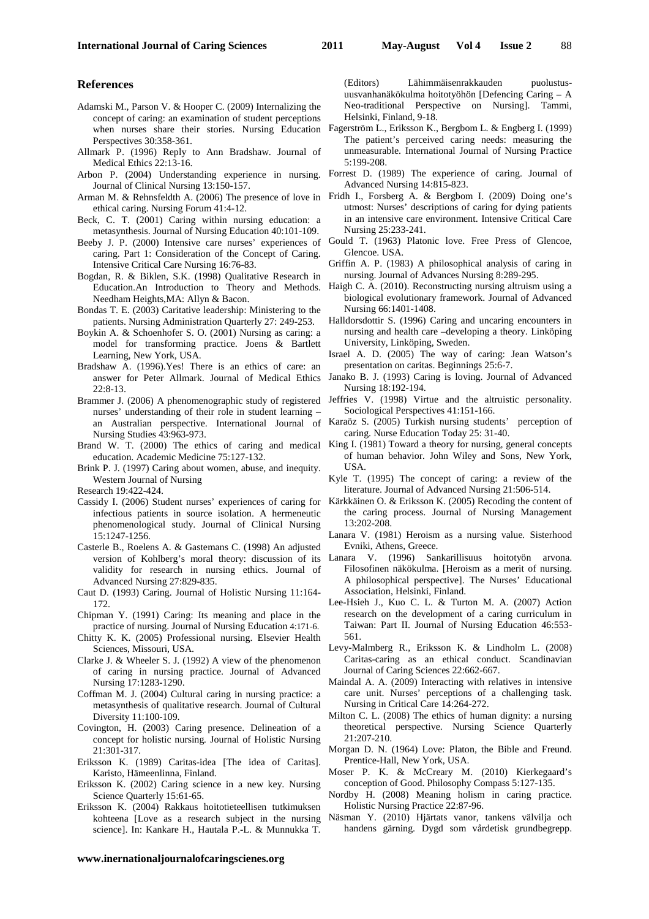#### **References**

- Adamski M., Parson V. & Hooper C. (2009) Internalizing the concept of caring: an examination of student perceptions when nurses share their stories. Nursing Education Fagerström L., Eriksson K., Bergbom L. & Engberg I. (1999) Perspectives 30:358-361.
- Allmark P. (1996) Reply to Ann Bradshaw. Journal of Medical Ethics 22:13-16.
- Arbon P. (2004) Understanding experience in nursing. Journal of Clinical Nursing 13:150-157.
- ethical caring. Nursing Forum 41:4-12.
- Beck, C. T. (2001) Caring within nursing education: a metasynthesis. Journal of Nursing Education 40:101-109.
- Beeby J. P. (2000) Intensive care nurses' experiences of caring. Part 1: Consideration of the Concept of Caring. Intensive Critical Care Nursing 16:76-83.
- Bogdan, R. & Biklen, S.K. (1998) Qualitative Research in Education.An Introduction to Theory and Methods. Needham Heights,MA: Allyn & Bacon.
- Bondas T. E. (2003) Caritative leadership: Ministering to the patients. Nursing Administration Quarterly 27: 249-253.
- Boykin A. & Schoenhofer S. O. (2001) Nursing as caring: a model for transforming practice. Joens & Bartlett Learning, New York, USA.
- Bradshaw A. (1996).Yes! There is an ethics of care: an answer for Peter Allmark. Journal of Medical Ethics 22:8-13.
- nurses' understanding of their role in student learning Nursing Studies 43:963-973.
- Brand W. T. (2000) The ethics of caring and medical education. Academic Medicine 75:127-132.
- Brink P. J. (1997) Caring about women, abuse, and inequity. Western Journal of Nursing

Research 19:422-424.

- Cassidy I. (2006) Student nurses' experiences of caring for infectious patients in source isolation. A hermeneutic phenomenological study. Journal of Clinical Nursing 15:1247-1256.
- Casterle B., Roelens A. & Gastemans C. (1998) An adjusted version of Kohlberg's moral theory: discussion of its validity for research in nursing ethics. Journal of Advanced Nursing 27:829-835.
- Caut D. (1993) Caring. Journal of Holistic Nursing 11:164- 172.
- Chipman Y. (1991) Caring: Its meaning and place in the practice of nursing. Journal of Nursing Education 4:171-6.
- Chitty K. K. (2005) Professional nursing. Elsevier Health Sciences, Missouri, USA.
- Clarke J. & Wheeler S. J. (1992) A view of the phenomenon of caring in nursing practice. Journal of Advanced Nursing 17:1283-1290.
- Coffman M. J. (2004) Cultural caring in nursing practice: a metasynthesis of qualitative research. Journal of Cultural Diversity 11:100-109.
- Covington, H. (2003) Caring presence. Delineation of a concept for holistic nursing*.* Journal of Holistic Nursing 21:301-317.
- Eriksson K. (1989) Caritas-idea [The idea of Caritas]. Karisto, Hämeenlinna, Finland.
- Eriksson K. (2002) Caring science in a new key. Nursing Science Quarterly 15:61-65.
- Eriksson K. (2004) Rakkaus hoitotieteellisen tutkimuksen kohteena [Love as a research subject in the nursing science]. In: Kankare H., Hautala P.-L. & Munnukka T.

**www.inernationaljournalofcaringscienes.org**

(Editors) Lähimmäisenrakkauden puolustusuusvanhanäkökulma hoitotyöhön [Defencing Caring – A Neo-traditional Perspective on Nursing]. Tammi, Helsinki, Finland, 9-18.

- The patient's perceived caring needs: measuring the unmeasurable. International Journal of Nursing Practice 5:199-208.
- Forrest D. (1989) The experience of caring. Journal of Advanced Nursing 14:815-823.
- Arman M. & Rehnsfeldth A. (2006) The presence of love in Fridh I., Forsberg A. & Bergbom I. (2009) Doing one's utmost: Nurses' descriptions of caring for dying patients in an intensive care environment. Intensive Critical Care Nursing 25:233-241.
	- Gould T. (1963) Platonic love. Free Press of Glencoe, Glencoe. USA.
	- Griffin A. P. (1983) A philosophical analysis of caring in nursing. Journal of Advances Nursing 8:289-295.
	- Haigh C. A. (2010). Reconstructing nursing altruism using a biological evolutionary framework. Journal of Advanced Nursing 66:1401-1408.
	- Halldorsdottir S. (1996) Caring and uncaring encounters in nursing and health care –developing a theory. Linköping University, Linköping, Sweden.
	- Israel A. D. (2005) The way of caring: Jean Watson's presentation on caritas. Beginnings 25:6-7.
	- Janako B. J. (1993) Caring is loving. Journal of Advanced Nursing 18:192-194.
- Brammer J. (2006) A phenomenographic study of registered Jeffries V. (1998) Virtue and the altruistic personality. Sociological Perspectives 41:151-166.
	- an Australian perspective. International Journal of Karaöz S. (2005) Turkish nursing students' perception of caring. Nurse Education Today 25: 31-40.
		- King I. (1981) Toward a theory for nursing, general concepts of human behavior*.* John Wiley and Sons, New York, USA.
		- Kyle T. (1995) The concept of caring: a review of the literature. Journal of Advanced Nursing 21:506-514.
		- Kärkkäinen O. & Eriksson K. (2005) Recoding the content of the caring process. Journal of Nursing Management 13:202-208.
		- Lanara V. (1981) Heroism as a nursing value*.* Sisterhood Evniki, Athens, Greece.
		- Lanara V. (1996) Sankarillisuus hoitotyön arvona. Filosofinen näkökulma. [Heroism as a merit of nursing. A philosophical perspective]. The Nurses' Educational Association, Helsinki, Finland.
		- Lee-Hsieh J., Kuo C. L. & Turton M. A. (2007) Action research on the development of a caring curriculum in Taiwan: Part II. Journal of Nursing Education 46:553- 561.
		- Levy-Malmberg R., Eriksson K. & Lindholm L. (2008) Caritas-caring as an ethical conduct. Scandinavian Journal of Caring Sciences 22:662-667.
		- Maindal A. A. (2009) Interacting with relatives in intensive care unit. Nurses' perceptions of a challenging task. Nursing in Critical Care 14:264-272.
		- Milton C. L. (2008) The ethics of human dignity: a nursing theoretical perspective. Nursing Science Quarterly 21:207-210.
		- Morgan D. N. (1964) Love: Platon, the Bible and Freund. Prentice-Hall, New York, USA.
		- Moser P. K. & McCreary M. (2010) Kierkegaard's conception of Good. Philosophy Compass 5:127-135.
		- Nordby H. (2008) Meaning holism in caring practice. Holistic Nursing Practice 22:87-96.
		- Näsman Y. (2010) Hjärtats vanor, tankens välvilja och handens gärning. Dygd som vårdetisk grundbegrepp.